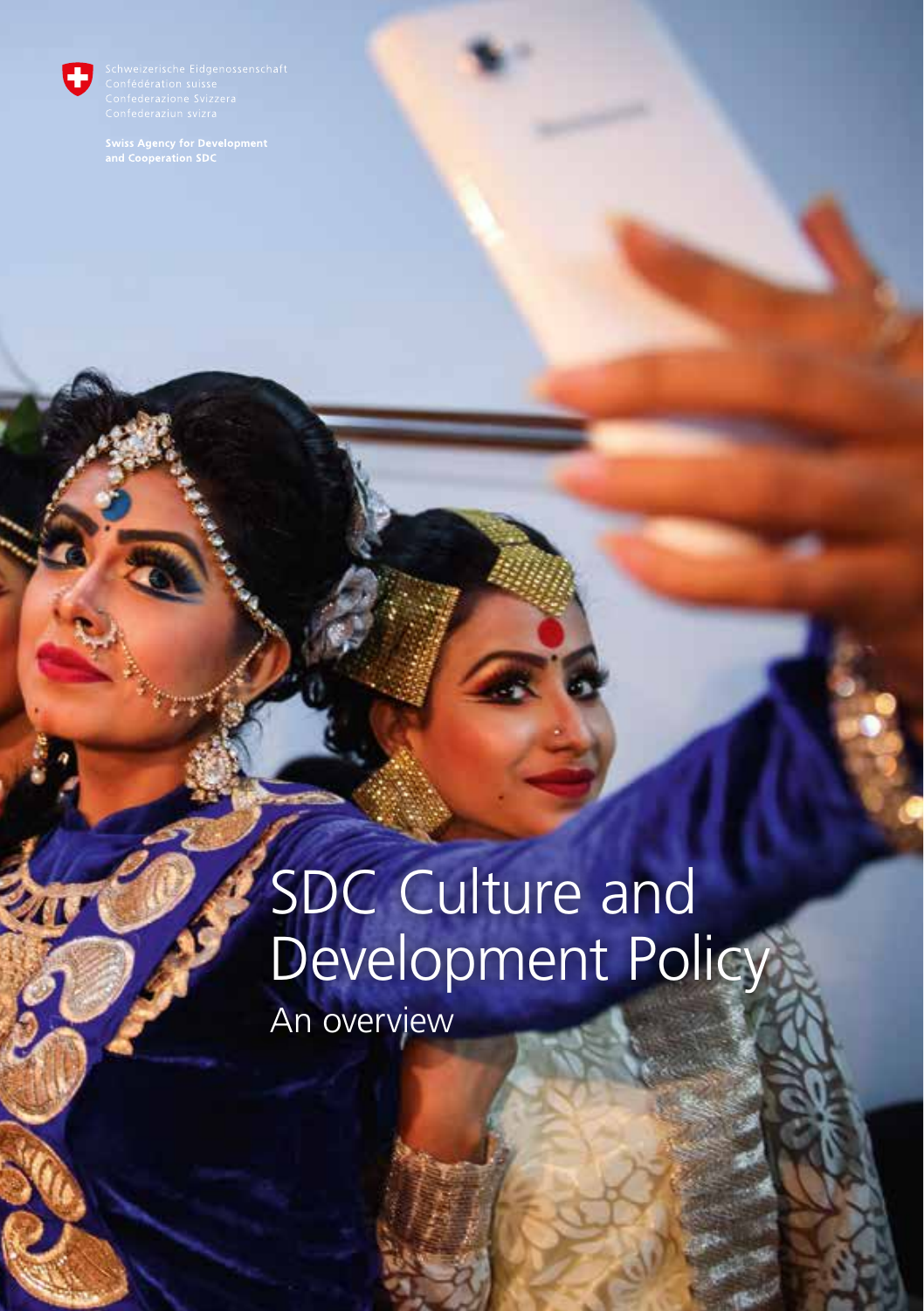

# SDC Culture and Development Policy An overview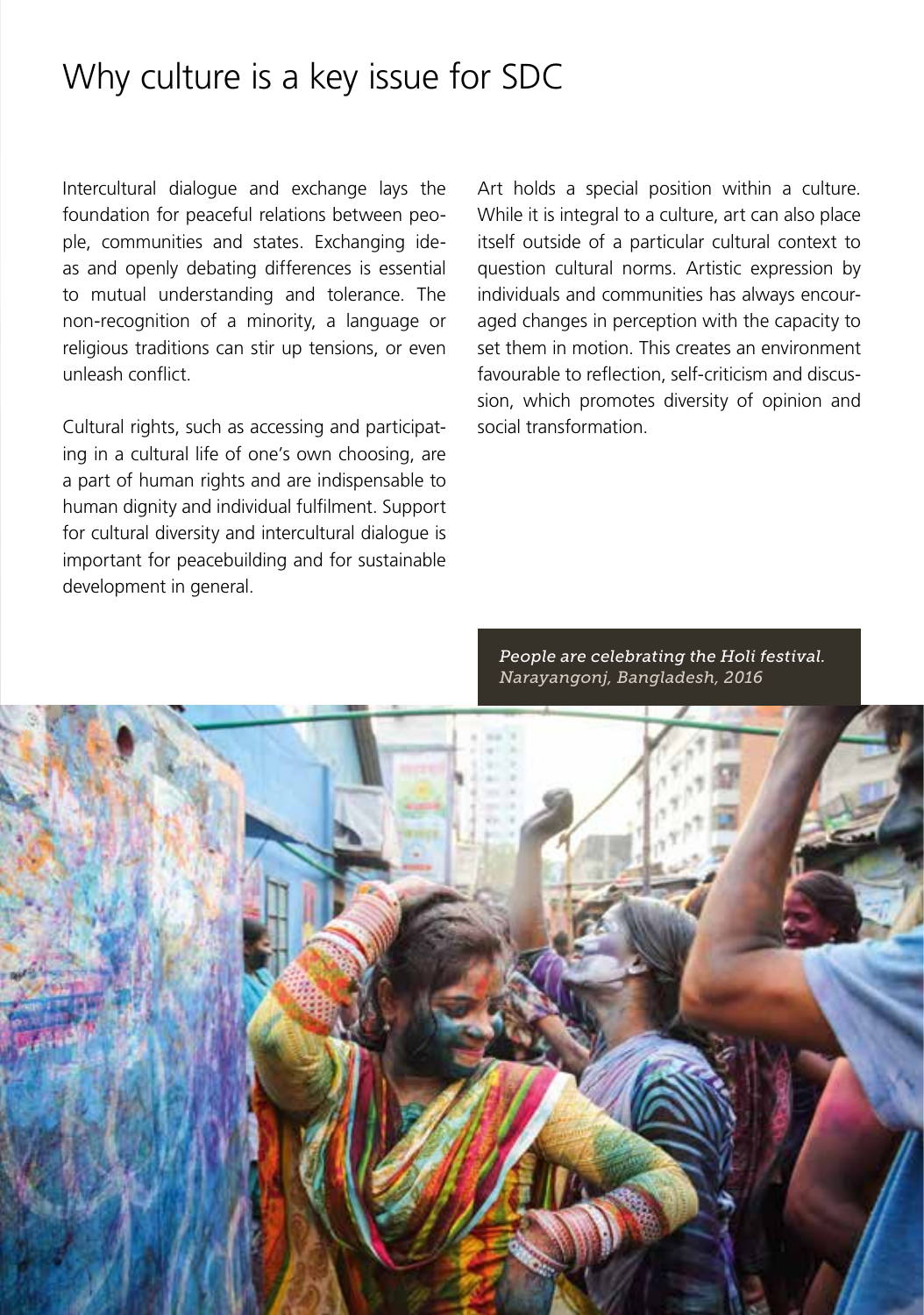#### Why culture is a key issue for SDC

Intercultural dialogue and exchange lays the foundation for peaceful relations between people, communities and states. Exchanging ideas and openly debating differences is essential to mutual understanding and tolerance. The non-recognition of a minority, a language or religious traditions can stir up tensions, or even unleash conflict.

Cultural rights, such as accessing and participating in a cultural life of one's own choosing, are a part of human rights and are indispensable to human dignity and individual fulfilment. Support for cultural diversity and intercultural dialogue is important for peacebuilding and for sustainable development in general.

Art holds a special position within a culture. While it is integral to a culture, art can also place itself outside of a particular cultural context to question cultural norms. Artistic expression by individuals and communities has always encouraged changes in perception with the capacity to set them in motion. This creates an environment favourable to reflection, self-criticism and discussion, which promotes diversity of opinion and social transformation.

*People are celebrating the Holi festival. Narayangonj, Bangladesh, 2016*

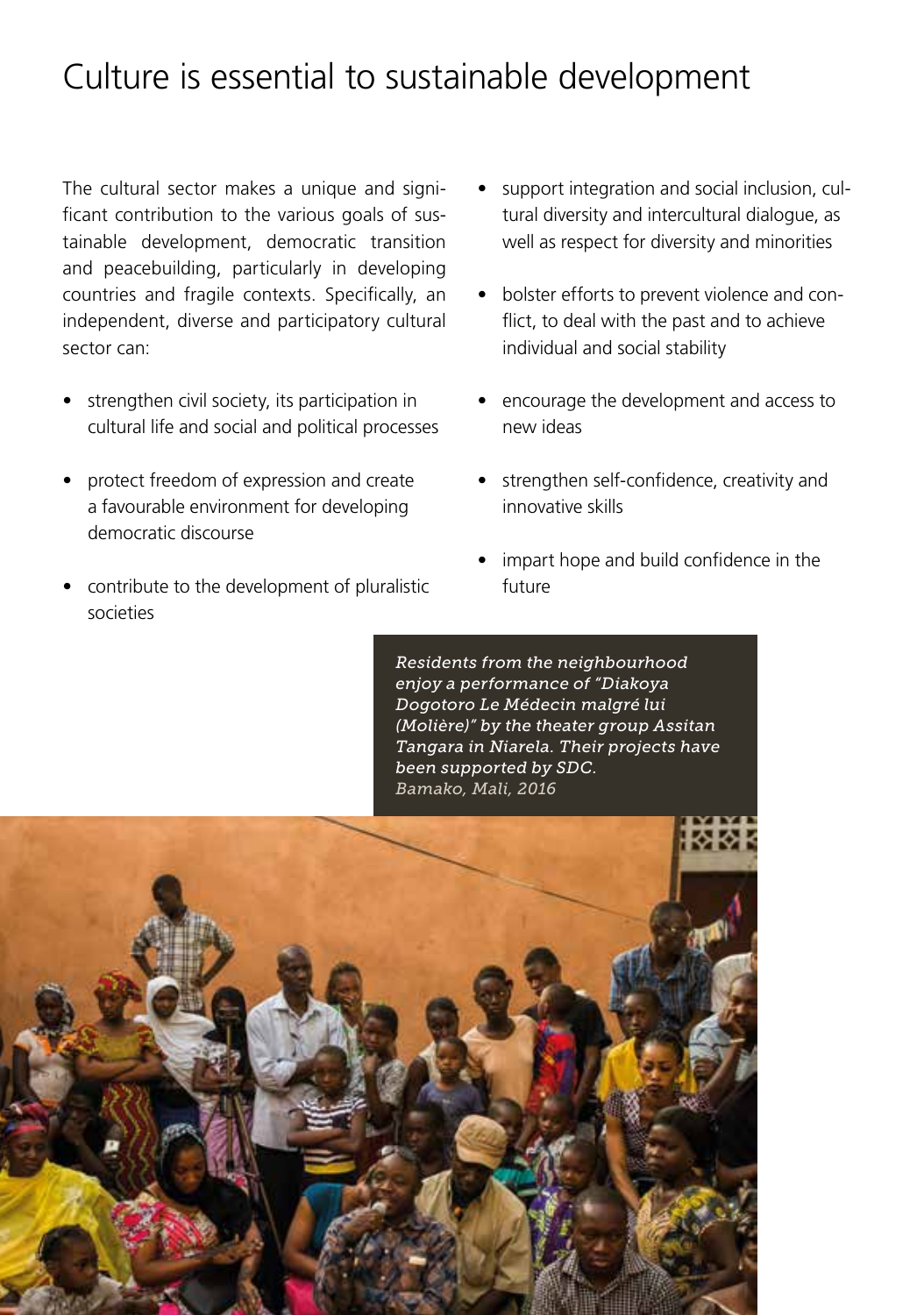## Culture is essential to sustainable development

The cultural sector makes a unique and significant contribution to the various goals of sustainable development, democratic transition and peacebuilding, particularly in developing countries and fragile contexts. Specifically, an independent, diverse and participatory cultural sector can:

- strengthen civil society, its participation in cultural life and social and political processes
- protect freedom of expression and create a favourable environment for developing democratic discourse
- contribute to the development of pluralistic societies
- support integration and social inclusion, cultural diversity and intercultural dialogue, as well as respect for diversity and minorities
- bolster efforts to prevent violence and conflict, to deal with the past and to achieve individual and social stability
- encourage the development and access to new ideas
- strengthen self-confidence, creativity and innovative skills
- impart hope and build confidence in the future

*Residents from the neighbourhood enjoy a performance of "Diakoya Dogotoro Le Médecin malgré lui (Molière)" by the theater group Assitan Tangara in Niarela. Their projects have been supported by SDC. Bamako, Mali, 2016*

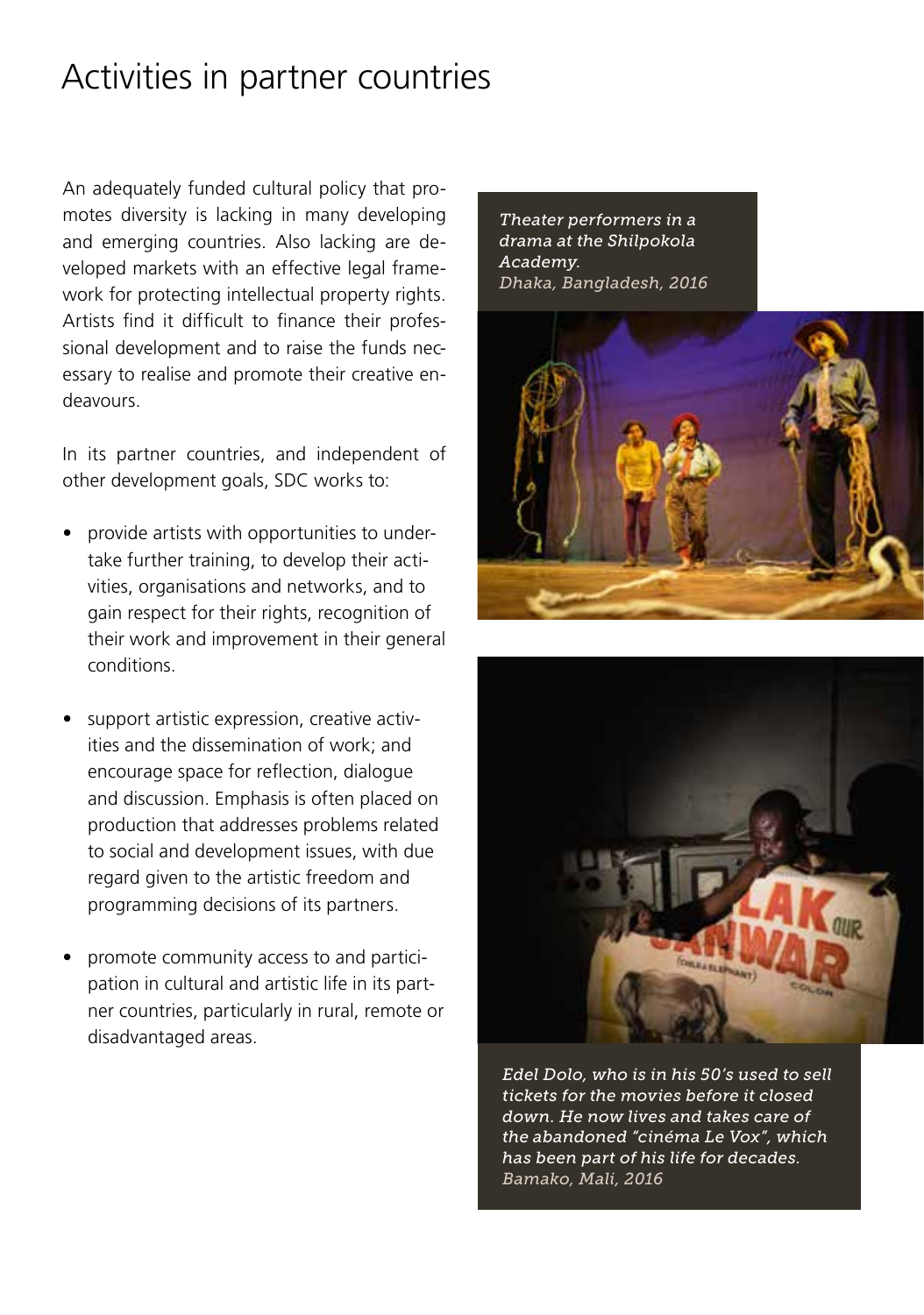## Activities in partner countries

An adequately funded cultural policy that promotes diversity is lacking in many developing and emerging countries. Also lacking are developed markets with an effective legal framework for protecting intellectual property rights. Artists find it difficult to finance their professional development and to raise the funds necessary to realise and promote their creative endeavours.

In its partner countries, and independent of other development goals, SDC works to:

- provide artists with opportunities to undertake further training, to develop their activities, organisations and networks, and to gain respect for their rights, recognition of their work and improvement in their general conditions.
- support artistic expression, creative activities and the dissemination of work; and encourage space for reflection, dialogue and discussion. Emphasis is often placed on production that addresses problems related to social and development issues, with due regard given to the artistic freedom and programming decisions of its partners.
- promote community access to and participation in cultural and artistic life in its partner countries, particularly in rural, remote or disadvantaged areas.

*Theater performers in a drama at the Shilpokola Academy. Dhaka, Bangladesh, 2016*





*Edel Dolo, who is in his 50's used to sell tickets for the movies before it closed down. He now lives and takes care of the abandoned "cinéma Le Vox", which has been part of his life for decades. Bamako, Mali, 2016*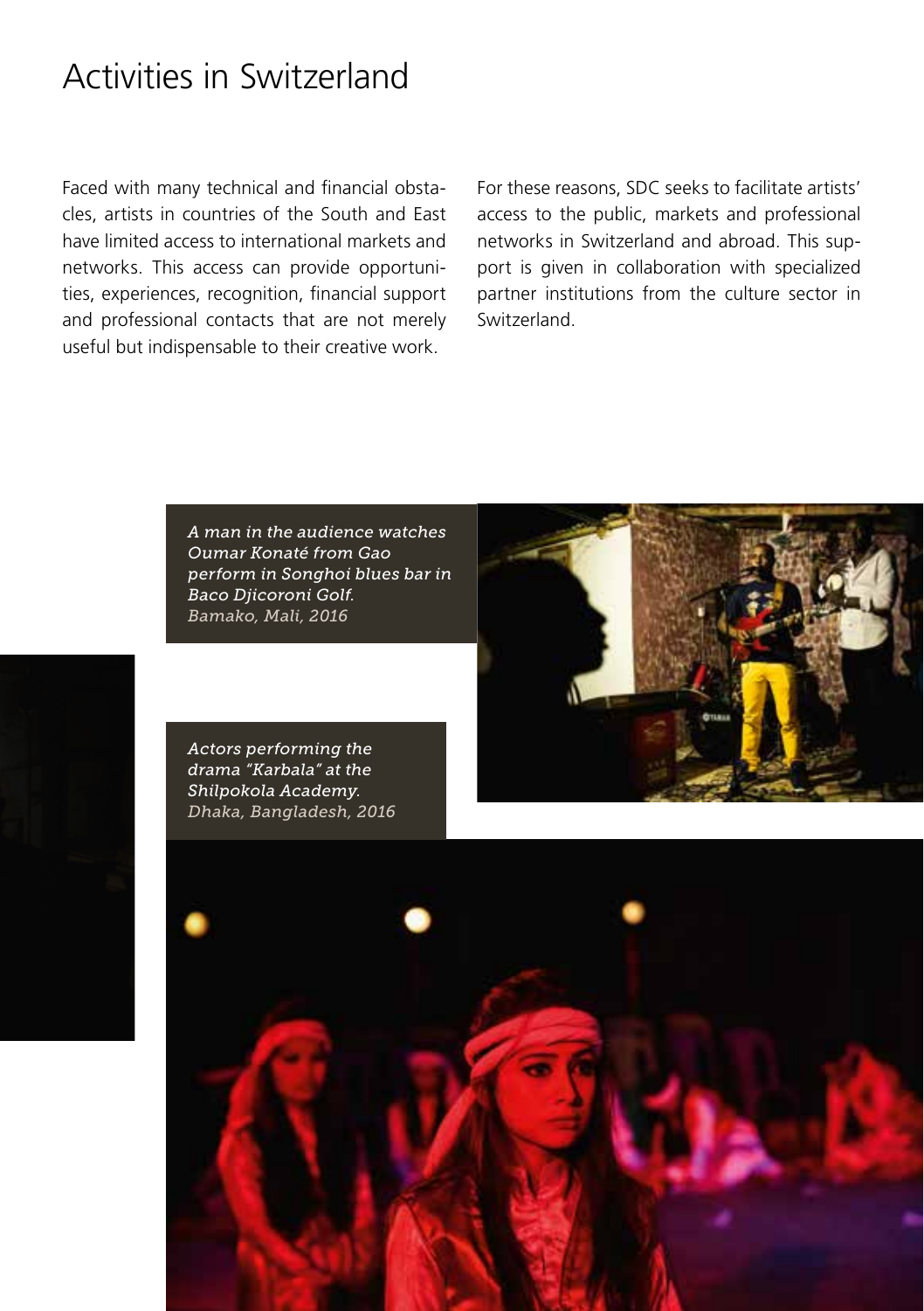#### Activities in Switzerland

Faced with many technical and financial obstacles, artists in countries of the South and East have limited access to international markets and networks. This access can provide opportunities, experiences, recognition, financial support and professional contacts that are not merely useful but indispensable to their creative work.

For these reasons, SDC seeks to facilitate artists' access to the public, markets and professional networks in Switzerland and abroad. This support is given in collaboration with specialized partner institutions from the culture sector in Switzerland.



*A man in the audience watches Oumar Konaté from Gao perform in Songhoi blues bar in Baco Djicoroni Golf. Bamako, Mali, 2016*

*Actors performing the drama "Karbala" at the Shilpokola Academy. Dhaka, Bangladesh, 2016*

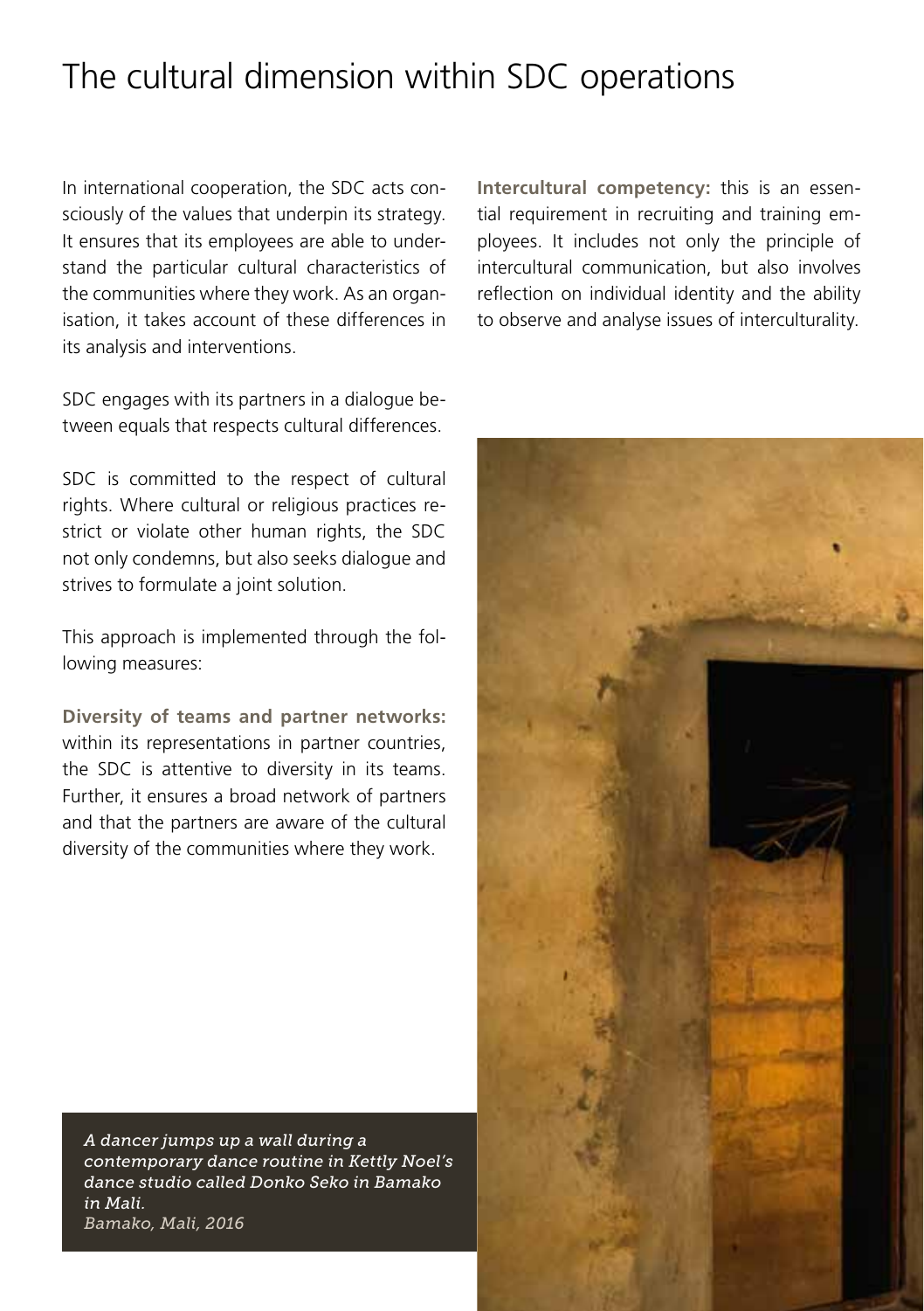## The cultural dimension within SDC operations

In international cooperation, the SDC acts consciously of the values that underpin its strategy. It ensures that its employees are able to understand the particular cultural characteristics of the communities where they work. As an organisation, it takes account of these differences in its analysis and interventions.

SDC engages with its partners in a dialogue between equals that respects cultural differences.

SDC is committed to the respect of cultural rights. Where cultural or religious practices restrict or violate other human rights, the SDC not only condemns, but also seeks dialogue and strives to formulate a joint solution.

This approach is implemented through the following measures:

**Diversity of teams and partner networks:** within its representations in partner countries, the SDC is attentive to diversity in its teams. Further, it ensures a broad network of partners and that the partners are aware of the cultural diversity of the communities where they work.

*A dancer jumps up a wall during a contemporary dance routine in Kettly Noel's dance studio called Donko Seko in Bamako in Mali. Bamako, Mali, 2016*

**Intercultural competency:** this is an essential requirement in recruiting and training employees. It includes not only the principle of intercultural communication, but also involves reflection on individual identity and the ability to observe and analyse issues of interculturality.

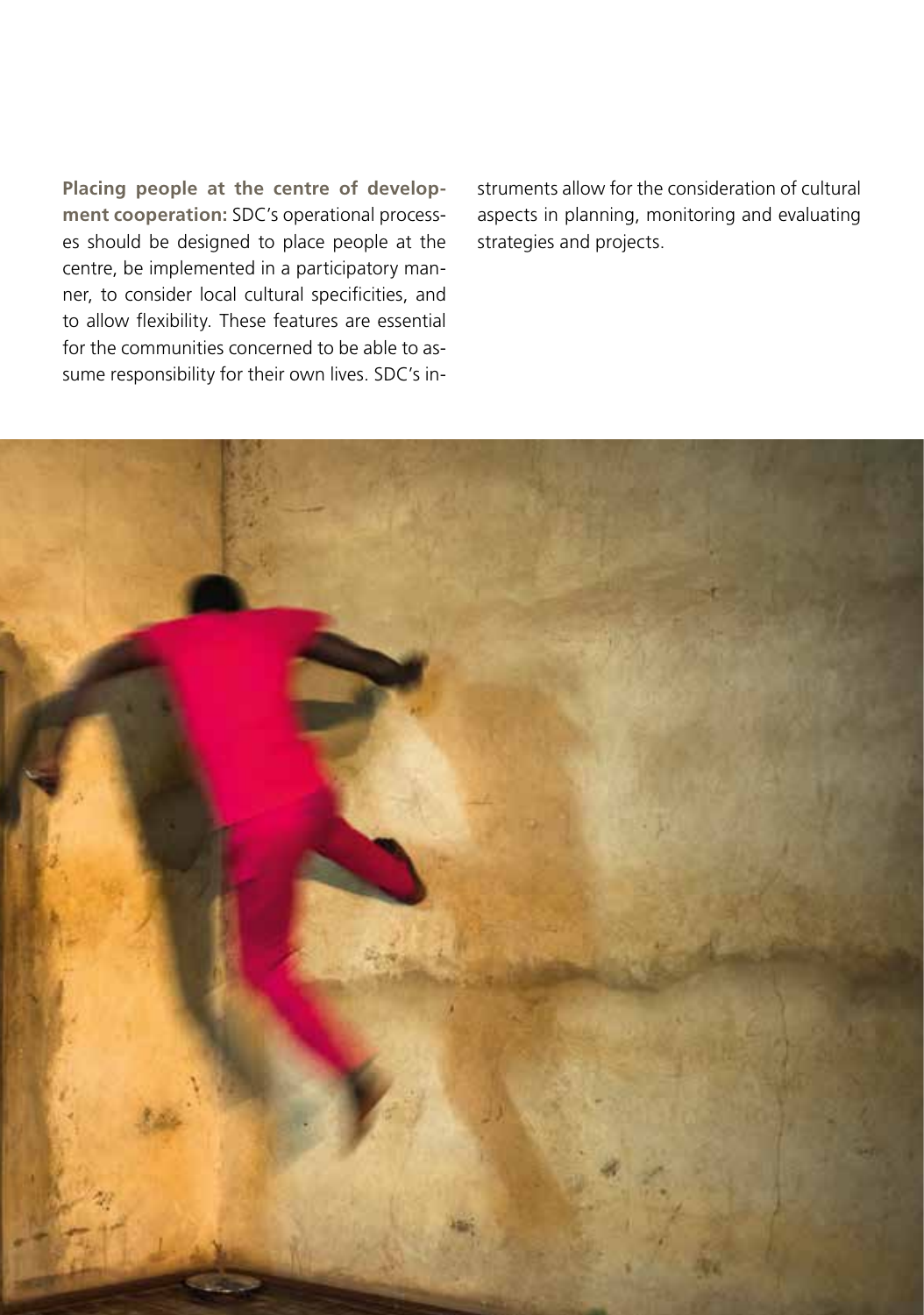**Placing people at the centre of development cooperation:** SDC's operational processes should be designed to place people at the centre, be implemented in a participatory manner, to consider local cultural specificities, and to allow flexibility. These features are essential for the communities concerned to be able to assume responsibility for their own lives. SDC's in-

struments allow for the consideration of cultural aspects in planning, monitoring and evaluating strategies and projects.